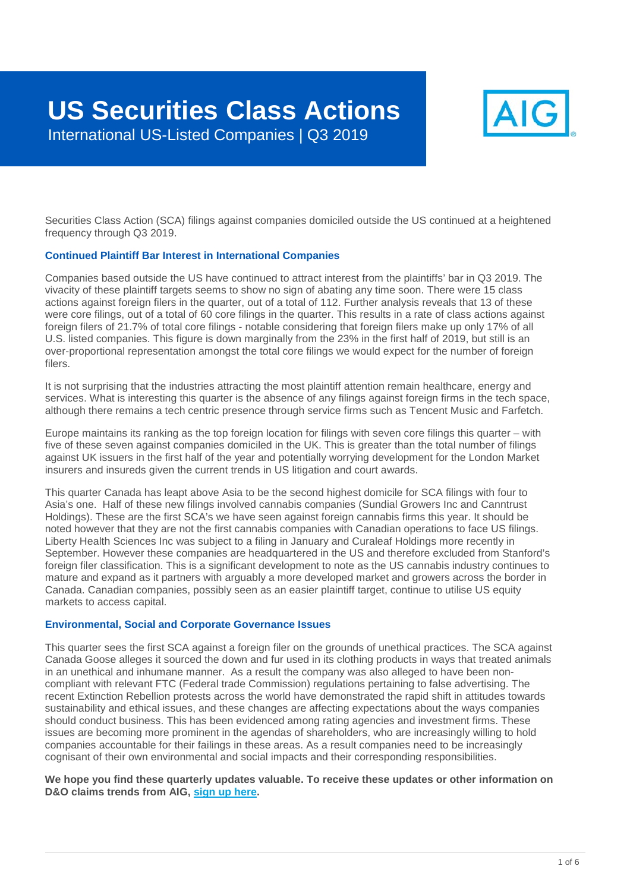

Securities Class Action (SCA) filings against companies domiciled outside the US continued at a heightened frequency through Q3 2019.

#### **Continued Plaintiff Bar Interest in International Companies**

Companies based outside the US have continued to attract interest from the plaintiffs' bar in Q3 2019. The vivacity of these plaintiff targets seems to show no sign of abating any time soon. There were 15 class actions against foreign filers in the quarter, out of a total of 112. Further analysis reveals that 13 of these were core filings, out of a total of 60 core filings in the quarter. This results in a rate of class actions against foreign filers of 21.7% of total core filings - notable considering that foreign filers make up only 17% of all U.S. listed companies. This figure is down marginally from the 23% in the first half of 2019, but still is an over-proportional representation amongst the total core filings we would expect for the number of foreign filers.

It is not surprising that the industries attracting the most plaintiff attention remain healthcare, energy and services. What is interesting this quarter is the absence of any filings against foreign firms in the tech space, although there remains a tech centric presence through service firms such as Tencent Music and Farfetch.

Europe maintains its ranking as the top foreign location for filings with seven core filings this quarter – with five of these seven against companies domiciled in the UK. This is greater than the total number of filings against UK issuers in the first half of the year and potentially worrying development for the London Market insurers and insureds given the current trends in US litigation and court awards.

This quarter Canada has leapt above Asia to be the second highest domicile for SCA filings with four to Asia's one. Half of these new filings involved cannabis companies (Sundial Growers Inc and Canntrust Holdings). These are the first SCA's we have seen against foreign cannabis firms this year. It should be noted however that they are not the first cannabis companies with Canadian operations to face US filings. Liberty Health Sciences Inc was subject to a filing in January and Curaleaf Holdings more recently in September. However these companies are headquartered in the US and therefore excluded from Stanford's foreign filer classification. This is a significant development to note as the US cannabis industry continues to mature and expand as it partners with arguably a more developed market and growers across the border in Canada. Canadian companies, possibly seen as an easier plaintiff target, continue to utilise US equity markets to access capital.

#### **Environmental, Social and Corporate Governance Issues**

This quarter sees the first SCA against a foreign filer on the grounds of unethical practices. The SCA against Canada Goose alleges it sourced the down and fur used in its clothing products in ways that treated animals in an unethical and inhumane manner. As a result the company was also alleged to have been noncompliant with relevant FTC (Federal trade Commission) regulations pertaining to false advertising. The recent Extinction Rebellion protests across the world have demonstrated the rapid shift in attitudes towards sustainability and ethical issues, and these changes are affecting expectations about the ways companies should conduct business. This has been evidenced among rating agencies and investment firms. These issues are becoming more prominent in the agendas of shareholders, who are increasingly willing to hold companies accountable for their failings in these areas. As a result companies need to be increasingly cognisant of their own environmental and social impacts and their corresponding responsibilities.

#### **We hope you find these quarterly updates valuable. To receive these updates or other information on D&O claims trends from AIG, [sign up here.](http://www-109.aig.com/SignUp)**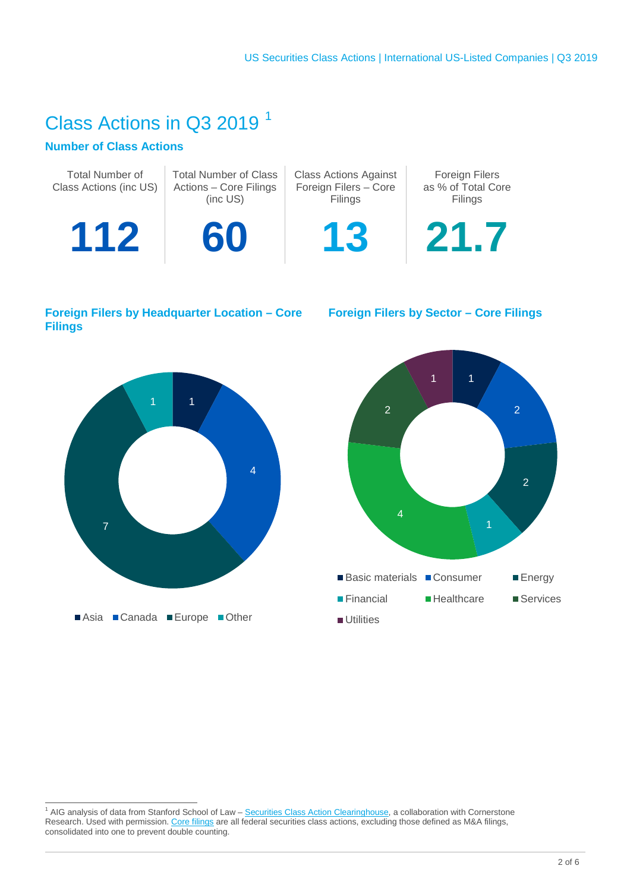## Class Actions in Q3 2019 [1](#page-1-0)

## **Number of Class Actions**

| <b>Total Number of</b><br>Class Actions (inc US) | <b>Total Number of Class</b><br>Actions - Core Filings<br>(inc US) | <b>Class Actions Against</b><br>Foreign Filers - Core<br>Filings | <b>Foreign Filers</b><br>as % of Total Core<br>Filings |  |  |
|--------------------------------------------------|--------------------------------------------------------------------|------------------------------------------------------------------|--------------------------------------------------------|--|--|
| 112                                              | 60                                                                 | 13                                                               | 21.7                                                   |  |  |
|                                                  |                                                                    |                                                                  |                                                        |  |  |

#### **Foreign Filers by Headquarter Location – Core Foreign Filers by Sector – Core Filings Filings**





<span id="page-1-0"></span><sup>1&</sup>lt;br>1 AIG analysis of data from Stanford School of Law – [Securities Class Action Clearinghouse,](http://securities.stanford.edu/index.html) a collaboration with Cornerstone Research. Used with permission. <u>Core filings</u> are all federal securities class actions, excluding those defined as M&A filings, consolidated into one to prevent double counting.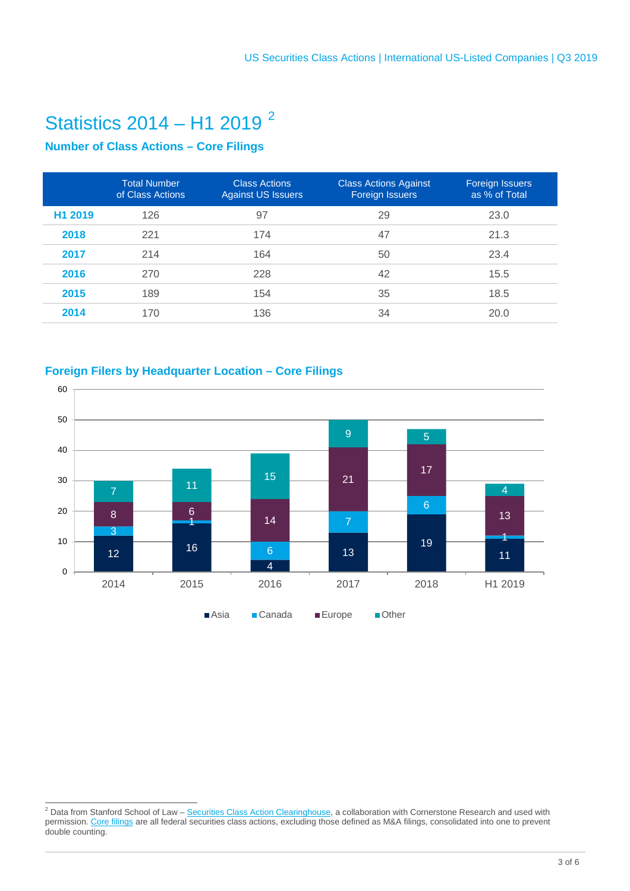# Statistics 2014 – H1 2019 [2](#page-2-0)

## **Number of Class Actions – Core Filings**

|         | <b>Total Number</b><br>of Class Actions | <b>Class Actions</b><br><b>Against US Issuers</b> | <b>Class Actions Against</b><br><b>Foreign Issuers</b> | Foreign Issuers<br>as % of Total |
|---------|-----------------------------------------|---------------------------------------------------|--------------------------------------------------------|----------------------------------|
| H1 2019 | 126                                     | 97                                                | 29                                                     | 23.0                             |
| 2018    | 221                                     | 174                                               | 47                                                     | 21.3                             |
| 2017    | 214                                     | 164                                               | 50                                                     | 23.4                             |
| 2016    | 270                                     | 228                                               | 42                                                     | 15.5                             |
| 2015    | 189                                     | 154                                               | 35                                                     | 18.5                             |
| 2014    | 170                                     | 136                                               | 34                                                     | 20.0                             |

## **Foreign Filers by Headquarter Location – Core Filings**



<span id="page-2-0"></span><sup>2&</sup>lt;br><sup>2</sup> Data from Stanford School of Law – <u>Securities Class Action Clearinghouse</u>, a collaboration with Cornerstone Research and used with permission. <u>Core filings</u> are all federal securities class actions, excluding those defined as M&A filings, consolidated into one to prevent double counting.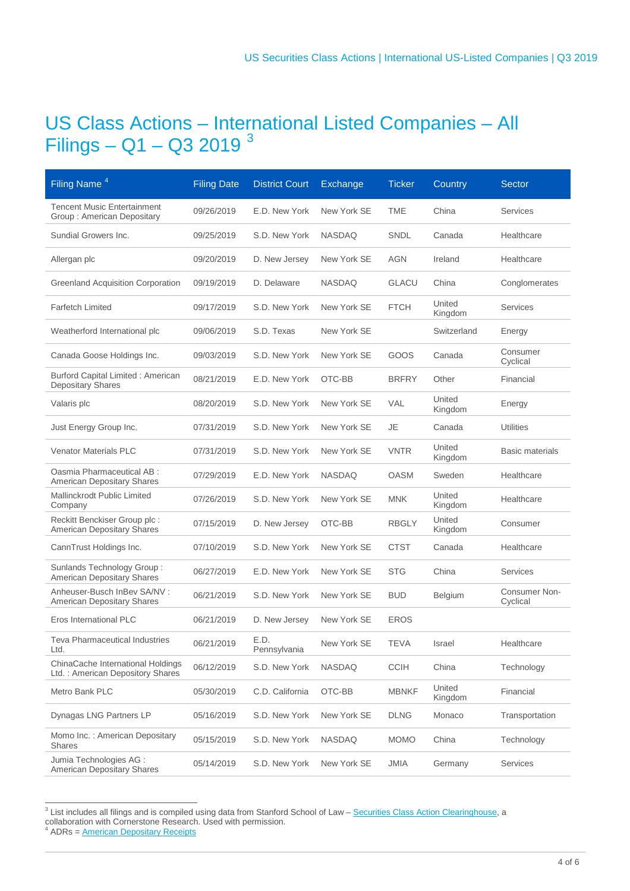## US Class Actions – International Listed Companies – All Filings – Q1 – Q[3](#page-3-0) 2019 $^3$

| Filing Name <sup>4</sup>                                              | <b>Filing Date</b> | <b>District Court</b> | Exchange      | <b>Ticker</b> | Country           | <b>Sector</b>             |
|-----------------------------------------------------------------------|--------------------|-----------------------|---------------|---------------|-------------------|---------------------------|
| <b>Tencent Music Entertainment</b><br>Group: American Depositary      | 09/26/2019         | E.D. New York         | New York SE   | <b>TME</b>    | China             | <b>Services</b>           |
| Sundial Growers Inc.                                                  | 09/25/2019         | S.D. New York         | <b>NASDAQ</b> | SNDL          | Canada            | Healthcare                |
| Allergan plc                                                          | 09/20/2019         | D. New Jersey         | New York SE   | AGN           | Ireland           | Healthcare                |
| <b>Greenland Acquisition Corporation</b>                              | 09/19/2019         | D. Delaware           | <b>NASDAQ</b> | <b>GLACU</b>  | China             | Conglomerates             |
| <b>Farfetch Limited</b>                                               | 09/17/2019         | S.D. New York         | New York SE   | <b>FTCH</b>   | United<br>Kingdom | <b>Services</b>           |
| Weatherford International plc                                         | 09/06/2019         | S.D. Texas            | New York SE   |               | Switzerland       | Energy                    |
| Canada Goose Holdings Inc.                                            | 09/03/2019         | S.D. New York         | New York SE   | GOOS          | Canada            | Consumer<br>Cyclical      |
| <b>Burford Capital Limited: American</b><br><b>Depositary Shares</b>  | 08/21/2019         | E.D. New York         | OTC-BB        | <b>BRFRY</b>  | Other             | Financial                 |
| Valaris plc                                                           | 08/20/2019         | S.D. New York         | New York SE   | VAL           | United<br>Kingdom | Energy                    |
| Just Energy Group Inc.                                                | 07/31/2019         | S.D. New York         | New York SE   | <b>JE</b>     | Canada            | <b>Utilities</b>          |
| <b>Venator Materials PLC</b>                                          | 07/31/2019         | S.D. New York         | New York SE   | <b>VNTR</b>   | United<br>Kingdom | <b>Basic materials</b>    |
| Oasmia Pharmaceutical AB :<br>American Depositary Shares              | 07/29/2019         | E.D. New York         | <b>NASDAQ</b> | <b>OASM</b>   | Sweden            | Healthcare                |
| Mallinckrodt Public Limited<br>Company                                | 07/26/2019         | S.D. New York         | New York SE   | <b>MNK</b>    | United<br>Kingdom | Healthcare                |
| Reckitt Benckiser Group plc:<br>American Depositary Shares            | 07/15/2019         | D. New Jersey         | OTC-BB        | <b>RBGLY</b>  | United<br>Kingdom | Consumer                  |
| CannTrust Holdings Inc.                                               | 07/10/2019         | S.D. New York         | New York SE   | <b>CTST</b>   | Canada            | Healthcare                |
| Sunlands Technology Group:<br>American Depositary Shares              | 06/27/2019         | E.D. New York         | New York SE   | <b>STG</b>    | China             | Services                  |
| Anheuser-Busch InBev SA/NV:<br>American Depositary Shares             | 06/21/2019         | S.D. New York         | New York SE   | <b>BUD</b>    | <b>Belgium</b>    | Consumer Non-<br>Cyclical |
| Eros International PLC                                                | 06/21/2019         | D. New Jersey         | New York SE   | <b>EROS</b>   |                   |                           |
| <b>Teva Pharmaceutical Industries</b><br>Ltd.                         | 06/21/2019         | E.D.<br>Pennsylvania  | New York SE   | <b>TEVA</b>   | Israel            | Healthcare                |
| ChinaCache International Holdings<br>Ltd.: American Depository Shares | 06/12/2019         | S.D. New York         | <b>NASDAQ</b> | <b>CCIH</b>   | China             | Technology                |
| Metro Bank PLC                                                        | 05/30/2019         | C.D. California       | OTC-BB        | <b>MBNKF</b>  | United<br>Kingdom | Financial                 |
| Dynagas LNG Partners LP                                               | 05/16/2019         | S.D. New York         | New York SE   | <b>DLNG</b>   | Monaco            | Transportation            |
| Momo Inc.: American Depositary<br><b>Shares</b>                       | 05/15/2019         | S.D. New York         | <b>NASDAQ</b> | <b>MOMO</b>   | China             | Technology                |
| Jumia Technologies AG :<br>American Depositary Shares                 | 05/14/2019         | S.D. New York         | New York SE   | <b>JMIA</b>   | Germany           | <b>Services</b>           |

<span id="page-3-0"></span> $3$  List includes all filings and is compiled using data from Stanford School of Law – [Securities Class Action Clearinghouse,](http://securities.stanford.edu/index.html) a collaboration with Cornerstone Research. Used with permission.<br>
<sup>4</sup> ADRs = <u>American Depositary Receipts</u>

<span id="page-3-1"></span>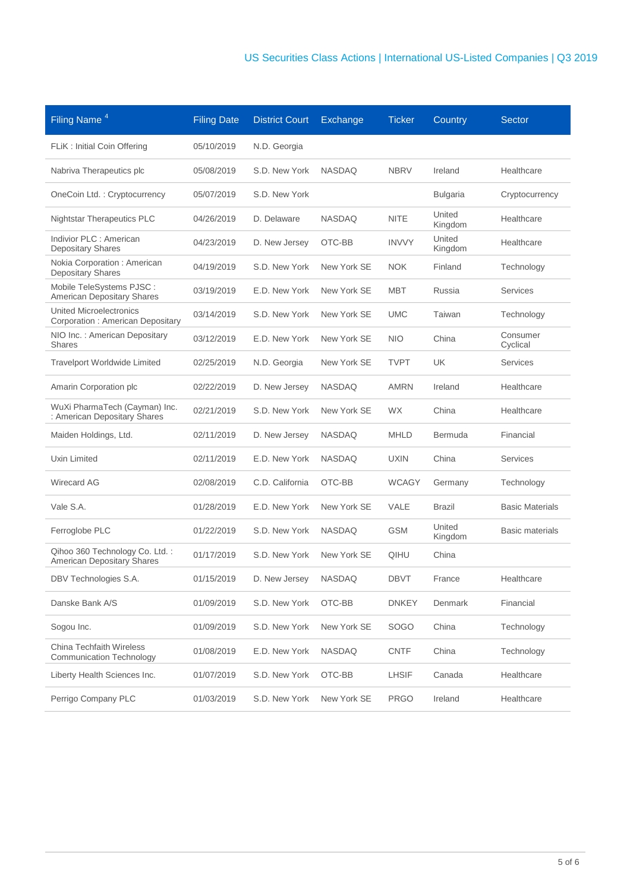| Filing Name <sup>4</sup>                                            | <b>Filing Date</b> | <b>District Court</b> | Exchange      | <b>Ticker</b> | Country           | <b>Sector</b>          |
|---------------------------------------------------------------------|--------------------|-----------------------|---------------|---------------|-------------------|------------------------|
| FLiK : Initial Coin Offering                                        | 05/10/2019         | N.D. Georgia          |               |               |                   |                        |
| Nabriva Therapeutics plc                                            | 05/08/2019         | S.D. New York         | <b>NASDAQ</b> | <b>NBRV</b>   | Ireland           | Healthcare             |
| OneCoin Ltd.: Cryptocurrency                                        | 05/07/2019         | S.D. New York         |               |               | <b>Bulgaria</b>   | Cryptocurrency         |
| <b>Nightstar Therapeutics PLC</b>                                   | 04/26/2019         | D. Delaware           | <b>NASDAQ</b> | <b>NITE</b>   | United<br>Kingdom | Healthcare             |
| Indivior PLC : American<br>Depositary Shares                        | 04/23/2019         | D. New Jersey         | OTC-BB        | <b>INVVY</b>  | United<br>Kingdom | Healthcare             |
| Nokia Corporation : American<br>Depositary Shares                   | 04/19/2019         | S.D. New York         | New York SE   | <b>NOK</b>    | Finland           | Technology             |
| Mobile TeleSystems PJSC:<br>American Depositary Shares              | 03/19/2019         | E.D. New York         | New York SE   | <b>MBT</b>    | Russia            | <b>Services</b>        |
| <b>United Microelectronics</b><br>Corporation : American Depositary | 03/14/2019         | S.D. New York         | New York SE   | <b>UMC</b>    | Taiwan            | Technology             |
| NIO Inc.: American Depositary<br><b>Shares</b>                      | 03/12/2019         | E.D. New York         | New York SE   | <b>NIO</b>    | China             | Consumer<br>Cyclical   |
| <b>Travelport Worldwide Limited</b>                                 | 02/25/2019         | N.D. Georgia          | New York SE   | <b>TVPT</b>   | <b>UK</b>         | Services               |
| Amarin Corporation plc                                              | 02/22/2019         | D. New Jersey         | <b>NASDAQ</b> | <b>AMRN</b>   | Ireland           | Healthcare             |
| WuXi PharmaTech (Cayman) Inc.<br>: American Depositary Shares       | 02/21/2019         | S.D. New York         | New York SE   | <b>WX</b>     | China             | Healthcare             |
| Maiden Holdings, Ltd.                                               | 02/11/2019         | D. New Jersey         | <b>NASDAQ</b> | <b>MHLD</b>   | Bermuda           | Financial              |
| Uxin Limited                                                        | 02/11/2019         | E.D. New York         | <b>NASDAQ</b> | <b>UXIN</b>   | China             | <b>Services</b>        |
| <b>Wirecard AG</b>                                                  | 02/08/2019         | C.D. California       | OTC-BB        | <b>WCAGY</b>  | Germany           | Technology             |
| Vale S.A.                                                           | 01/28/2019         | E.D. New York         | New York SE   | VALE          | <b>Brazil</b>     | <b>Basic Materials</b> |
| Ferroglobe PLC                                                      | 01/22/2019         | S.D. New York         | <b>NASDAQ</b> | <b>GSM</b>    | United<br>Kingdom | Basic materials        |
| Qihoo 360 Technology Co. Ltd.:<br><b>American Depositary Shares</b> | 01/17/2019         | S.D. New York         | New York SE   | QIHU          | China             |                        |
| DBV Technologies S.A.                                               | 01/15/2019         | D. New Jersey         | <b>NASDAQ</b> | DBVT          | France            | Healthcare             |
| Danske Bank A/S                                                     | 01/09/2019         | S.D. New York         | OTC-BB        | <b>DNKEY</b>  | Denmark           | Financial              |
| Sogou Inc.                                                          | 01/09/2019         | S.D. New York         | New York SE   | <b>SOGO</b>   | China             | Technology             |
| <b>China Techfaith Wireless</b><br><b>Communication Technology</b>  | 01/08/2019         | E.D. New York         | <b>NASDAQ</b> | <b>CNTF</b>   | China             | Technology             |
| Liberty Health Sciences Inc.                                        | 01/07/2019         | S.D. New York         | OTC-BB        | <b>LHSIF</b>  | Canada            | Healthcare             |
| Perrigo Company PLC                                                 | 01/03/2019         | S.D. New York         | New York SE   | <b>PRGO</b>   | Ireland           | Healthcare             |
|                                                                     |                    |                       |               |               |                   |                        |